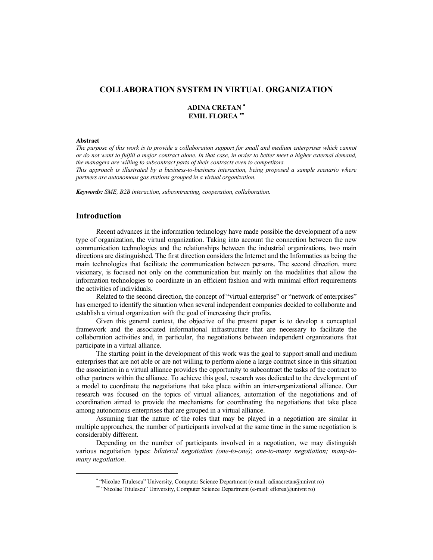# **COLLABORATION SYSTEM IN VIRTUAL ORGANIZATION**

# **ADINA CRETAN EMIL FLOREA**

## **Abstract**

*The purpose of this work is to provide a collaboration support for small and medium enterprises which cannot or do not want to fulfill a major contract alone. In that case, in order to better meet a higher external demand, the managers are willing to subcontract parts of their contracts even to competitors.* 

*This approach is illustrated by a business-to-business interaction, being proposed a sample scenario where partners are autonomous gas stations grouped in a virtual organization.* 

*Keywords: SME, B2B interaction, subcontracting, cooperation, collaboration.* 

# **Introduction**

Recent advances in the information technology have made possible the development of a new type of organization, the virtual organization. Taking into account the connection between the new communication technologies and the relationships between the industrial organizations, two main directions are distinguished. The first direction considers the Internet and the Informatics as being the main technologies that facilitate the communication between persons. The second direction, more visionary, is focused not only on the communication but mainly on the modalities that allow the information technologies to coordinate in an efficient fashion and with minimal effort requirements the activities of individuals.

Related to the second direction, the concept of "virtual enterprise" or "network of enterprises" has emerged to identify the situation when several independent companies decided to collaborate and establish a virtual organization with the goal of increasing their profits.

Given this general context, the objective of the present paper is to develop a conceptual framework and the associated informational infrastructure that are necessary to facilitate the collaboration activities and, in particular, the negotiations between independent organizations that participate in a virtual alliance.

The starting point in the development of this work was the goal to support small and medium enterprises that are not able or are not willing to perform alone a large contract since in this situation the association in a virtual alliance provides the opportunity to subcontract the tasks of the contract to other partners within the alliance. To achieve this goal, research was dedicated to the development of a model to coordinate the negotiations that take place within an inter-organizational alliance. Our research was focused on the topics of virtual alliances, automation of the negotiations and of coordination aimed to provide the mechanisms for coordinating the negotiations that take place among autonomous enterprises that are grouped in a virtual alliance.

Assuming that the nature of the roles that may be played in a negotiation are similar in multiple approaches, the number of participants involved at the same time in the same negotiation is considerably different.

Depending on the number of participants involved in a negotiation, we may distinguish various negotiation types: *bilateral negotiation (one-to-one)*; *one-to-many negotiation; many-tomany negotiation*.

 <sup>&</sup>quot;Nicolae Titulescu" University, Computer Science Department (e-mail: adinacretan@univnt ro)

 <sup>&</sup>quot;Nicolae Titulescu" University, Computer Science Department (e-mail: eflorea@univnt ro)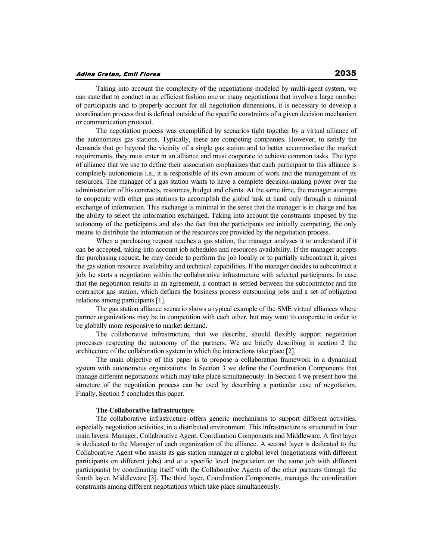Taking into account the complexity of the negotiations modeled by multi-agent system, we can state that to conduct in an efficient fashion one or many negotiations that involve a large number of participants and to properly account for all negotiation dimensions, it is necessary to develop a coordination process that is defined outside of the specific constraints of a given decision mechanism or communication protocol.

The negotiation process was exemplified by scenarios tight together by a virtual alliance of the autonomous gas stations. Typically, these are competing companies. However, to satisfy the demands that go beyond the vicinity of a single gas station and to better accommodate the market requirements, they must enter in an alliance and must cooperate to achieve common tasks. The type of alliance that we use to define their association emphasizes that each participant to this alliance is completely autonomous i.e., it is responsible of its own amount of work and the management of its resources. The manager of a gas station wants to have a complete decision-making power over the administration of his contracts, resources, budget and clients. At the same time, the manager attempts to cooperate with other gas stations to accomplish the global task at hand only through a minimal exchange of information. This exchange is minimal in the sense that the manager is in charge and has the ability to select the information exchanged. Taking into account the constraints imposed by the autonomy of the participants and also the fact that the participants are initially competing, the only means to distribute the information or the resources are provided by the negotiation process.

When a purchasing request reaches a gas station, the manager analyses it to understand if it can be accepted, taking into account job schedules and resources availability. If the manager accepts the purchasing request, he may decide to perform the job locally or to partially subcontract it, given the gas station resource availability and technical capabilities. If the manager decides to subcontract a job, he starts a negotiation within the collaborative infrastructure with selected participants. In case that the negotiation results in an agreement, a contract is settled between the subcontractor and the contractor gas station, which defines the business process outsourcing jobs and a set of obligation relations among participants [1].

The gas station alliance scenario shows a typical example of the SME virtual alliances where partner organizations may be in competition with each other, but may want to cooperate in order to be globally more responsive to market demand.

The collaborative infrastructure, that we describe, should flexibly support negotiation processes respecting the autonomy of the partners. We are briefly describing in section 2 the architecture of the collaboration system in which the interactions take place [2].

The main objective of this paper is to propose a collaboration framework in a dynamical system with autonomous organizations. In Section 3 we define the Coordination Components that manage different negotiations which may take place simultaneously. In Section 4 we present how the structure of the negotiation process can be used by describing a particular case of negotiation. Finally, Section 5 concludes this paper.

#### **The Collaborative Infrastructure**

The collaborative infrastructure offers generic mechanisms to support different activities, especially negotiation activities, in a distributed environment. This infrastructure is structured in four main layers: Manager, Collaborative Agent, Coordination Components and Middleware. A first layer is dedicated to the Manager of each organization of the alliance. A second layer is dedicated to the Collaborative Agent who assists its gas station manager at a global level (negotiations with different participants on different jobs) and at a specific level (negotiation on the same job with different participants) by coordinating itself with the Collaborative Agents of the other partners through the fourth layer, Middleware [3]. The third layer, Coordination Components, manages the coordination constraints among different negotiations which take place simultaneously.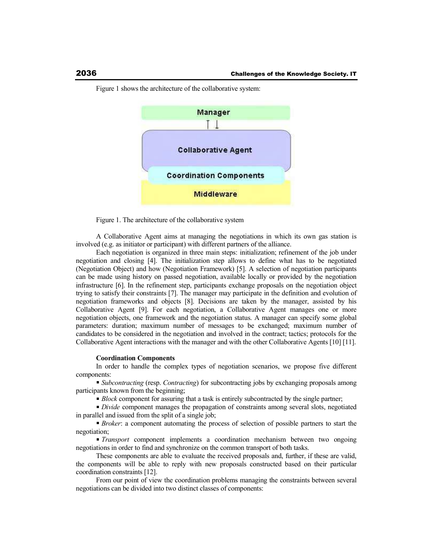

Figure 1 shows the architecture of the collaborative system:

Figure 1. The architecture of the collaborative system

A Collaborative Agent aims at managing the negotiations in which its own gas station is involved (e.g. as initiator or participant) with different partners of the alliance.

Each negotiation is organized in three main steps: initialization; refinement of the job under negotiation and closing [4]. The initialization step allows to define what has to be negotiated (Negotiation Object) and how (Negotiation Framework) [5]. A selection of negotiation participants can be made using history on passed negotiation, available locally or provided by the negotiation infrastructure [6]. In the refinement step, participants exchange proposals on the negotiation object trying to satisfy their constraints [7]. The manager may participate in the definition and evolution of negotiation frameworks and objects [8]. Decisions are taken by the manager, assisted by his Collaborative Agent [9]. For each negotiation, a Collaborative Agent manages one or more negotiation objects, one framework and the negotiation status. A manager can specify some global parameters: duration; maximum number of messages to be exchanged; maximum number of candidates to be considered in the negotiation and involved in the contract; tactics; protocols for the Collaborative Agent interactions with the manager and with the other Collaborative Agents [10] [11].

### **Coordination Components**

In order to handle the complex types of negotiation scenarios, we propose five different components:

*Subcontracting* (resp. *Contracting*) for subcontracting jobs by exchanging proposals among participants known from the beginning;

*Block* component for assuring that a task is entirely subcontracted by the single partner;

*Divide* component manages the propagation of constraints among several slots, negotiated in parallel and issued from the split of a single job;

**Broker:** a component automating the process of selection of possible partners to start the negotiation;

*Transport* component implements a coordination mechanism between two ongoing negotiations in order to find and synchronize on the common transport of both tasks.

These components are able to evaluate the received proposals and, further, if these are valid, the components will be able to reply with new proposals constructed based on their particular coordination constraints [12].

From our point of view the coordination problems managing the constraints between several negotiations can be divided into two distinct classes of components: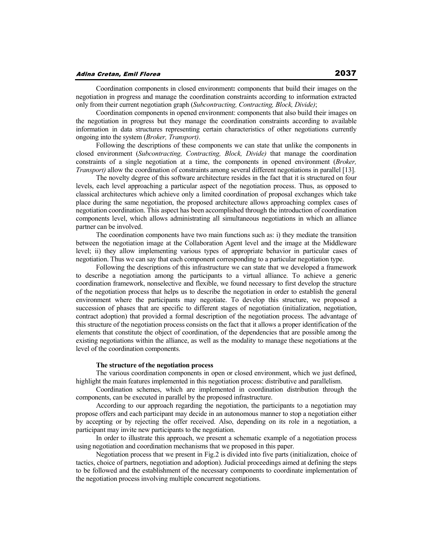### Adina Cretan, Emil Florea

Coordination components in closed environment**:** components that build their images on the negotiation in progress and manage the coordination constraints according to information extracted only from their current negotiation graph (*Subcontracting, Contracting, Block, Divide)*;

Coordination components in opened environment: components that also build their images on the negotiation in progress but they manage the coordination constraints according to available information in data structures representing certain characteristics of other negotiations currently ongoing into the system (*Broker, Transport)*.

Following the descriptions of these components we can state that unlike the components in closed environment (*Subcontracting, Contracting, Block, Divide)* that manage the coordination constraints of a single negotiation at a time, the components in opened environment (*Broker, Transport)* allow the coordination of constraints among several different negotiations in parallel [13].

The novelty degree of this software architecture resides in the fact that it is structured on four levels, each level approaching a particular aspect of the negotiation process. Thus, as opposed to classical architectures which achieve only a limited coordination of proposal exchanges which take place during the same negotiation, the proposed architecture allows approaching complex cases of negotiation coordination. This aspect has been accomplished through the introduction of coordination components level, which allows administrating all simultaneous negotiations in which an alliance partner can be involved.

The coordination components have two main functions such as: i) they mediate the transition between the negotiation image at the Collaboration Agent level and the image at the Middleware level; ii) they allow implementing various types of appropriate behavior in particular cases of negotiation. Thus we can say that each component corresponding to a particular negotiation type.

Following the descriptions of this infrastructure we can state that we developed a framework to describe a negotiation among the participants to a virtual alliance. To achieve a generic coordination framework, nonselective and flexible, we found necessary to first develop the structure of the negotiation process that helps us to describe the negotiation in order to establish the general environment where the participants may negotiate. To develop this structure, we proposed a succession of phases that are specific to different stages of negotiation (initialization, negotiation, contract adoption) that provided a formal description of the negotiation process. The advantage of this structure of the negotiation process consists on the fact that it allows a proper identification of the elements that constitute the object of coordination, of the dependencies that are possible among the existing negotiations within the alliance, as well as the modality to manage these negotiations at the level of the coordination components.

## **The structure of the negotiation process**

The various coordination components in open or closed environment, which we just defined, highlight the main features implemented in this negotiation process: distributive and parallelism.

Coordination schemes, which are implemented in coordination distribution through the components, can be executed in parallel by the proposed infrastructure.

According to our approach regarding the negotiation, the participants to a negotiation may propose offers and each participant may decide in an autonomous manner to stop a negotiation either by accepting or by rejecting the offer received. Also, depending on its role in a negotiation, a participant may invite new participants to the negotiation.

In order to illustrate this approach, we present a schematic example of a negotiation process using negotiation and coordination mechanisms that we proposed in this paper.

Negotiation process that we present in Fig.2 is divided into five parts (initialization, choice of tactics, choice of partners, negotiation and adoption). Judicial proceedings aimed at defining the steps to be followed and the establishment of the necessary components to coordinate implementation of the negotiation process involving multiple concurrent negotiations.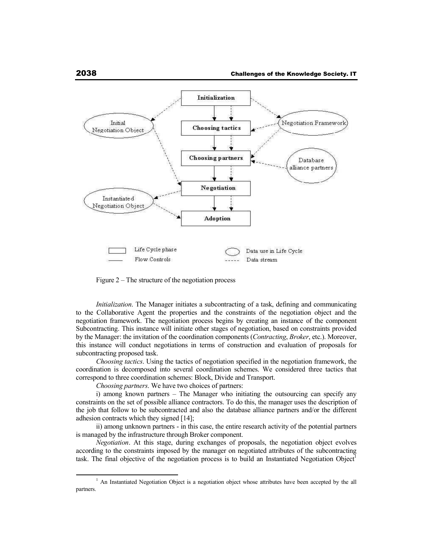

Figure  $2 -$ The structure of the negotiation process

*Initialization*. The Manager initiates a subcontracting of a task, defining and communicating to the Collaborative Agent the properties and the constraints of the negotiation object and the negotiation framework. The negotiation process begins by creating an instance of the component Subcontracting. This instance will initiate other stages of negotiation, based on constraints provided by the Manager: the invitation of the coordination components (*Contracting*, *Broker*, etc.). Moreover, this instance will conduct negotiations in terms of construction and evaluation of proposals for subcontracting proposed task.

*Choosing tactics*. Using the tactics of negotiation specified in the negotiation framework, the coordination is decomposed into several coordination schemes. We considered three tactics that correspond to three coordination schemes: Block, Divide and Transport.

*Choosing partners*. We have two choices of partners:

i) among known partners – The Manager who initiating the outsourcing can specify any constraints on the set of possible alliance contractors. To do this, the manager uses the description of the job that follow to be subcontracted and also the database alliance partners and/or the different adhesion contracts which they signed [14];

ii) among unknown partners - in this case, the entire research activity of the potential partners is managed by the infrastructure through Broker component.

*Negotiation*. At this stage, during exchanges of proposals, the negotiation object evolves according to the constraints imposed by the manager on negotiated attributes of the subcontracting task. The final objective of the negotiation process is to build an Instantiated Negotiation Object<sup>1</sup>

<sup>&</sup>lt;sup>1</sup> An Instantiated Negotiation Object is a negotiation object whose attributes have been accepted by the all partners.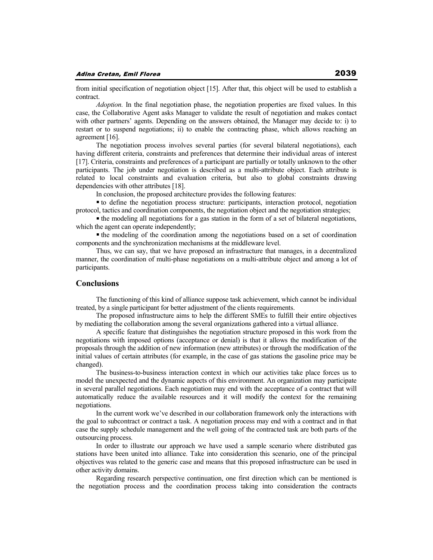from initial specification of negotiation object [15]. After that, this object will be used to establish a contract.

*Adoption.* In the final negotiation phase, the negotiation properties are fixed values. In this case, the Collaborative Agent asks Manager to validate the result of negotiation and makes contact with other partners' agents. Depending on the answers obtained, the Manager may decide to: i) to restart or to suspend negotiations; ii) to enable the contracting phase, which allows reaching an agreement [16].

The negotiation process involves several parties (for several bilateral negotiations), each having different criteria, constraints and preferences that determine their individual areas of interest [17]. Criteria, constraints and preferences of a participant are partially or totally unknown to the other participants. The job under negotiation is described as a multi-attribute object. Each attribute is related to local constraints and evaluation criteria, but also to global constraints drawing dependencies with other attributes [18].

In conclusion, the proposed architecture provides the following features:

to define the negotiation process structure: participants, interaction protocol, negotiation protocol, tactics and coordination components, the negotiation object and the negotiation strategies;

• the modeling all negotiations for a gas station in the form of a set of bilateral negotiations, which the agent can operate independently;

 $\blacksquare$  the modeling of the coordination among the negotiations based on a set of coordination components and the synchronization mechanisms at the middleware level.

Thus, we can say, that we have proposed an infrastructure that manages, in a decentralized manner, the coordination of multi-phase negotiations on a multi-attribute object and among a lot of participants.

# **Conclusions**

The functioning of this kind of alliance suppose task achievement, which cannot be individual treated, by a single participant for better adjustment of the clients requirements.

The proposed infrastructure aims to help the different SMEs to fulfill their entire objectives by mediating the collaboration among the several organizations gathered into a virtual alliance.

A specific feature that distinguishes the negotiation structure proposed in this work from the negotiations with imposed options (acceptance or denial) is that it allows the modification of the proposals through the addition of new information (new attributes) or through the modification of the initial values of certain attributes (for example, in the case of gas stations the gasoline price may be changed).

The business-to-business interaction context in which our activities take place forces us to model the unexpected and the dynamic aspects of this environment. An organization may participate in several parallel negotiations. Each negotiation may end with the acceptance of a contract that will automatically reduce the available resources and it will modify the context for the remaining negotiations.

In the current work we've described in our collaboration framework only the interactions with the goal to subcontract or contract a task. A negotiation process may end with a contract and in that case the supply schedule management and the well going of the contracted task are both parts of the outsourcing process.

In order to illustrate our approach we have used a sample scenario where distributed gas stations have been united into alliance. Take into consideration this scenario, one of the principal objectives was related to the generic case and means that this proposed infrastructure can be used in other activity domains.

Regarding research perspective continuation, one first direction which can be mentioned is the negotiation process and the coordination process taking into consideration the contracts